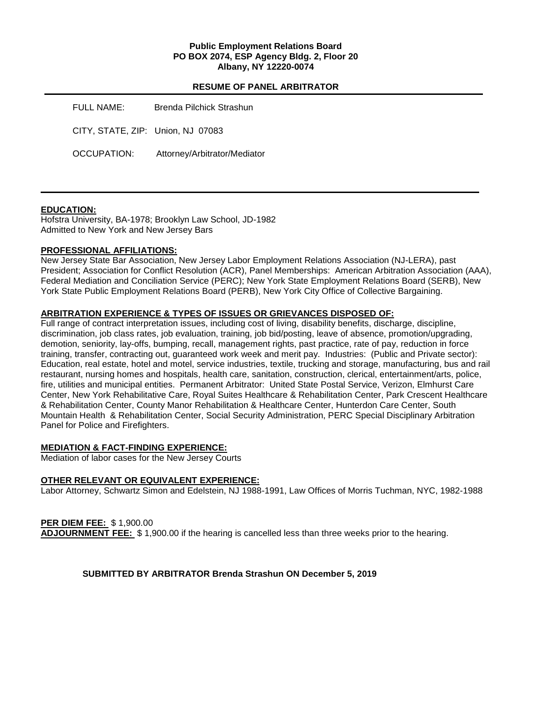## **Public Employment Relations Board PO BOX 2074, ESP Agency Bldg. 2, Floor 20 Albany, NY 12220-0074**

## **RESUME OF PANEL ARBITRATOR**

| FULL NAME:                        | Brenda Pilchick Strashun     |
|-----------------------------------|------------------------------|
| CITY, STATE, ZIP: Union, NJ 07083 |                              |
| OCCUPATION:                       | Attorney/Arbitrator/Mediator |

## **EDUCATION:**

Hofstra University, BA-1978; Brooklyn Law School, JD-1982 Admitted to New York and New Jersey Bars

## **PROFESSIONAL AFFILIATIONS:**

New Jersey State Bar Association, New Jersey Labor Employment Relations Association (NJ-LERA), past President; Association for Conflict Resolution (ACR), Panel Memberships: American Arbitration Association (AAA), Federal Mediation and Conciliation Service (PERC); New York State Employment Relations Board (SERB), New York State Public Employment Relations Board (PERB), New York City Office of Collective Bargaining.

# **ARBITRATION EXPERIENCE & TYPES OF ISSUES OR GRIEVANCES DISPOSED OF:**

Full range of contract interpretation issues, including cost of living, disability benefits, discharge, discipline, discrimination, job class rates, job evaluation, training, job bid/posting, leave of absence, promotion/upgrading, demotion, seniority, lay-offs, bumping, recall, management rights, past practice, rate of pay, reduction in force training, transfer, contracting out, guaranteed work week and merit pay. Industries: (Public and Private sector): Education, real estate, hotel and motel, service industries, textile, trucking and storage, manufacturing, bus and rail restaurant, nursing homes and hospitals, health care, sanitation, construction, clerical, entertainment/arts, police, fire, utilities and municipal entities. Permanent Arbitrator: United State Postal Service, Verizon, Elmhurst Care Center, New York Rehabilitative Care, Royal Suites Healthcare & Rehabilitation Center, Park Crescent Healthcare & Rehabilitation Center, County Manor Rehabilitation & Healthcare Center, Hunterdon Care Center, South Mountain Health & Rehabilitation Center, Social Security Administration, PERC Special Disciplinary Arbitration Panel for Police and Firefighters.

## **MEDIATION & FACT-FINDING EXPERIENCE:**

Mediation of labor cases for the New Jersey Courts

## **OTHER RELEVANT OR EQUIVALENT EXPERIENCE:**

Labor Attorney, Schwartz Simon and Edelstein, NJ 1988-1991, Law Offices of Morris Tuchman, NYC, 1982-1988

**PER DIEM FEE:** \$ 1,900.00 **ADJOURNMENT FEE:** \$ 1,900.00 if the hearing is cancelled less than three weeks prior to the hearing.

## **SUBMITTED BY ARBITRATOR Brenda Strashun ON December 5, 2019**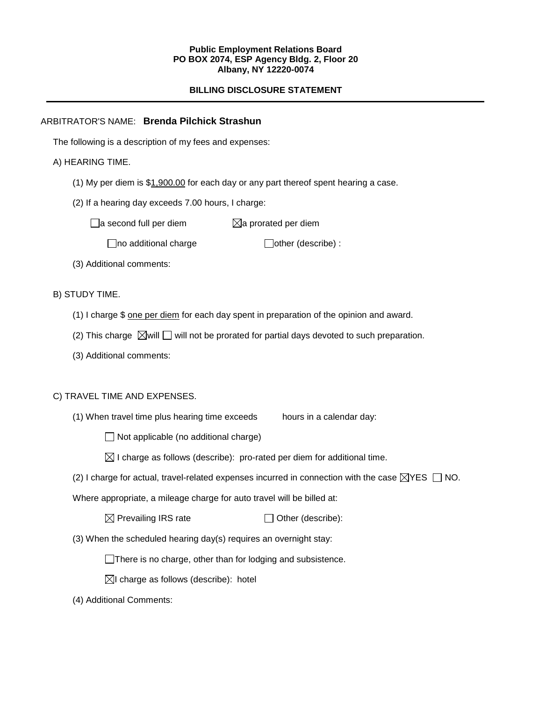#### **Public Employment Relations Board PO BOX 2074, ESP Agency Bldg. 2, Floor 20 Albany, NY 12220-0074**

# **BILLING DISCLOSURE STATEMENT**

## ARBITRATOR'S NAME: **Brenda Pilchick Strashun**

The following is a description of my fees and expenses:

## A) HEARING TIME.

- (1) My per diem is \$1,900.00 for each day or any part thereof spent hearing a case.
- (2) If a hearing day exceeds 7.00 hours, I charge:

 $\Box$ a second full per diem  $\boxtimes$ a prorated per diem

 $\Box$ no additional charge  $\Box$ other (describe) :

(3) Additional comments:

B) STUDY TIME.

- (1) I charge \$ one per diem for each day spent in preparation of the opinion and award.
- (2) This charge  $\boxtimes$  will  $\Box$  will not be prorated for partial days devoted to such preparation.
- (3) Additional comments:

## C) TRAVEL TIME AND EXPENSES.

(1) When travel time plus hearing time exceeds hours in a calendar day:

 $\Box$  Not applicable (no additional charge)

- $\boxtimes$  I charge as follows (describe): pro-rated per diem for additional time.
- (2) I charge for actual, travel-related expenses incurred in connection with the case  $\boxtimes$ YES  $\Box$  NO.

Where appropriate, a mileage charge for auto travel will be billed at:

 $\boxtimes$  Prevailing IRS rate  $\Box$  Other (describe):

(3) When the scheduled hearing day(s) requires an overnight stay:

There is no charge, other than for lodging and subsistence.

 $\boxtimes$ I charge as follows (describe): hotel

(4) Additional Comments: